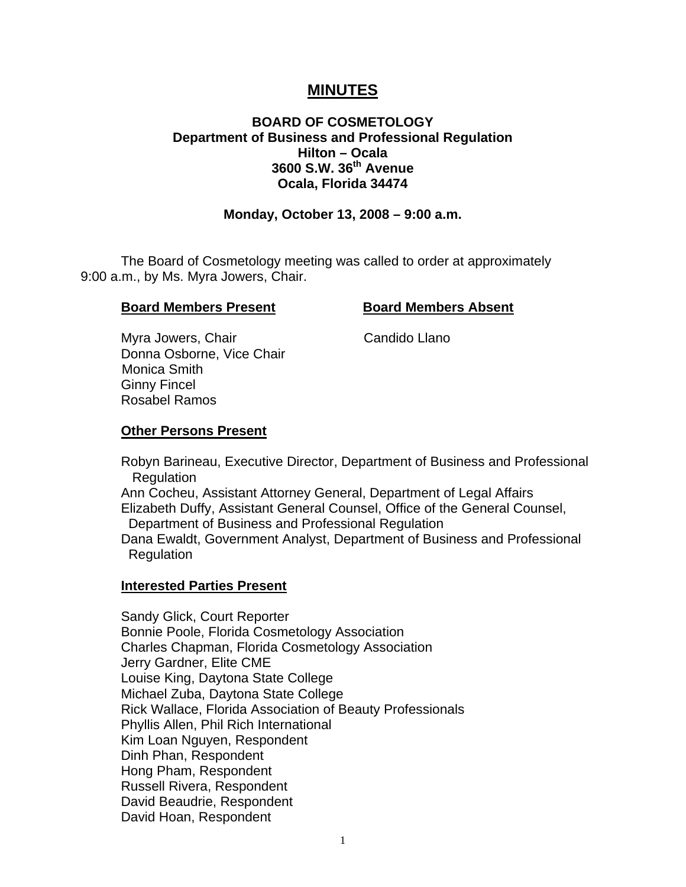# **MINUTES**

# **BOARD OF COSMETOLOGY Department of Business and Professional Regulation Hilton – Ocala 3600 S.W. 36th Avenue Ocala, Florida 34474**

#### **Monday, October 13, 2008 – 9:00 a.m.**

 The Board of Cosmetology meeting was called to order at approximately 9:00 a.m., by Ms. Myra Jowers, Chair.

#### **Board Members Present Board Members Absent**

Myra Jowers, Chair Chair Candido Llano Donna Osborne, Vice Chair Monica Smith Ginny Fincel Rosabel Ramos

#### **Other Persons Present**

 Robyn Barineau, Executive Director, Department of Business and Professional Regulation

 Ann Cocheu, Assistant Attorney General, Department of Legal Affairs Elizabeth Duffy, Assistant General Counsel, Office of the General Counsel, Department of Business and Professional Regulation

 Dana Ewaldt, Government Analyst, Department of Business and Professional **Regulation** 

#### **Interested Parties Present**

Sandy Glick, Court Reporter Bonnie Poole, Florida Cosmetology Association Charles Chapman, Florida Cosmetology Association Jerry Gardner, Elite CME Louise King, Daytona State College Michael Zuba, Daytona State College Rick Wallace, Florida Association of Beauty Professionals Phyllis Allen, Phil Rich International Kim Loan Nguyen, Respondent Dinh Phan, Respondent Hong Pham, Respondent Russell Rivera, Respondent David Beaudrie, Respondent David Hoan, Respondent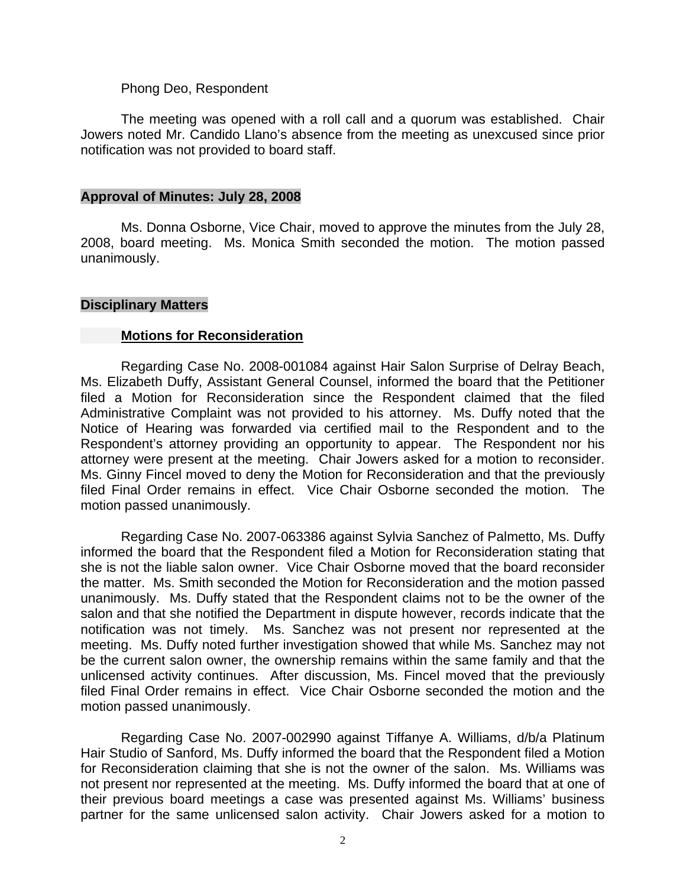#### Phong Deo, Respondent

 The meeting was opened with a roll call and a quorum was established. Chair Jowers noted Mr. Candido Llano's absence from the meeting as unexcused since prior notification was not provided to board staff.

#### **Approval of Minutes: July 28, 2008**

Ms. Donna Osborne, Vice Chair, moved to approve the minutes from the July 28, 2008, board meeting. Ms. Monica Smith seconded the motion. The motion passed unanimously.

#### **Disciplinary Matters**

#### **Motions for Reconsideration**

 Regarding Case No. 2008-001084 against Hair Salon Surprise of Delray Beach, Ms. Elizabeth Duffy, Assistant General Counsel, informed the board that the Petitioner filed a Motion for Reconsideration since the Respondent claimed that the filed Administrative Complaint was not provided to his attorney. Ms. Duffy noted that the Notice of Hearing was forwarded via certified mail to the Respondent and to the Respondent's attorney providing an opportunity to appear. The Respondent nor his attorney were present at the meeting. Chair Jowers asked for a motion to reconsider. Ms. Ginny Fincel moved to deny the Motion for Reconsideration and that the previously filed Final Order remains in effect. Vice Chair Osborne seconded the motion. The motion passed unanimously.

 Regarding Case No. 2007-063386 against Sylvia Sanchez of Palmetto, Ms. Duffy informed the board that the Respondent filed a Motion for Reconsideration stating that she is not the liable salon owner. Vice Chair Osborne moved that the board reconsider the matter. Ms. Smith seconded the Motion for Reconsideration and the motion passed unanimously. Ms. Duffy stated that the Respondent claims not to be the owner of the salon and that she notified the Department in dispute however, records indicate that the notification was not timely. Ms. Sanchez was not present nor represented at the meeting. Ms. Duffy noted further investigation showed that while Ms. Sanchez may not be the current salon owner, the ownership remains within the same family and that the unlicensed activity continues. After discussion, Ms. Fincel moved that the previously filed Final Order remains in effect. Vice Chair Osborne seconded the motion and the motion passed unanimously.

 Regarding Case No. 2007-002990 against Tiffanye A. Williams, d/b/a Platinum Hair Studio of Sanford, Ms. Duffy informed the board that the Respondent filed a Motion for Reconsideration claiming that she is not the owner of the salon. Ms. Williams was not present nor represented at the meeting. Ms. Duffy informed the board that at one of their previous board meetings a case was presented against Ms. Williams' business partner for the same unlicensed salon activity. Chair Jowers asked for a motion to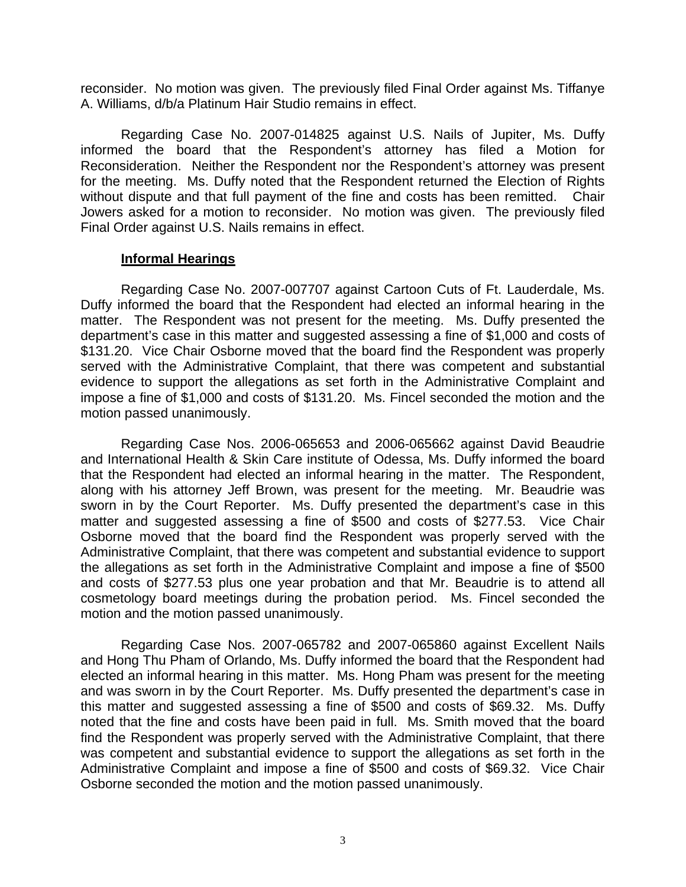reconsider. No motion was given. The previously filed Final Order against Ms. Tiffanye A. Williams, d/b/a Platinum Hair Studio remains in effect.

 Regarding Case No. 2007-014825 against U.S. Nails of Jupiter, Ms. Duffy informed the board that the Respondent's attorney has filed a Motion for Reconsideration. Neither the Respondent nor the Respondent's attorney was present for the meeting. Ms. Duffy noted that the Respondent returned the Election of Rights without dispute and that full payment of the fine and costs has been remitted. Chair Jowers asked for a motion to reconsider. No motion was given. The previously filed Final Order against U.S. Nails remains in effect.

#### **Informal Hearings**

 Regarding Case No. 2007-007707 against Cartoon Cuts of Ft. Lauderdale, Ms. Duffy informed the board that the Respondent had elected an informal hearing in the matter. The Respondent was not present for the meeting. Ms. Duffy presented the department's case in this matter and suggested assessing a fine of \$1,000 and costs of \$131.20. Vice Chair Osborne moved that the board find the Respondent was properly served with the Administrative Complaint, that there was competent and substantial evidence to support the allegations as set forth in the Administrative Complaint and impose a fine of \$1,000 and costs of \$131.20. Ms. Fincel seconded the motion and the motion passed unanimously.

 Regarding Case Nos. 2006-065653 and 2006-065662 against David Beaudrie and International Health & Skin Care institute of Odessa, Ms. Duffy informed the board that the Respondent had elected an informal hearing in the matter. The Respondent, along with his attorney Jeff Brown, was present for the meeting. Mr. Beaudrie was sworn in by the Court Reporter. Ms. Duffy presented the department's case in this matter and suggested assessing a fine of \$500 and costs of \$277.53. Vice Chair Osborne moved that the board find the Respondent was properly served with the Administrative Complaint, that there was competent and substantial evidence to support the allegations as set forth in the Administrative Complaint and impose a fine of \$500 and costs of \$277.53 plus one year probation and that Mr. Beaudrie is to attend all cosmetology board meetings during the probation period. Ms. Fincel seconded the motion and the motion passed unanimously.

 Regarding Case Nos. 2007-065782 and 2007-065860 against Excellent Nails and Hong Thu Pham of Orlando, Ms. Duffy informed the board that the Respondent had elected an informal hearing in this matter. Ms. Hong Pham was present for the meeting and was sworn in by the Court Reporter. Ms. Duffy presented the department's case in this matter and suggested assessing a fine of \$500 and costs of \$69.32. Ms. Duffy noted that the fine and costs have been paid in full. Ms. Smith moved that the board find the Respondent was properly served with the Administrative Complaint, that there was competent and substantial evidence to support the allegations as set forth in the Administrative Complaint and impose a fine of \$500 and costs of \$69.32. Vice Chair Osborne seconded the motion and the motion passed unanimously.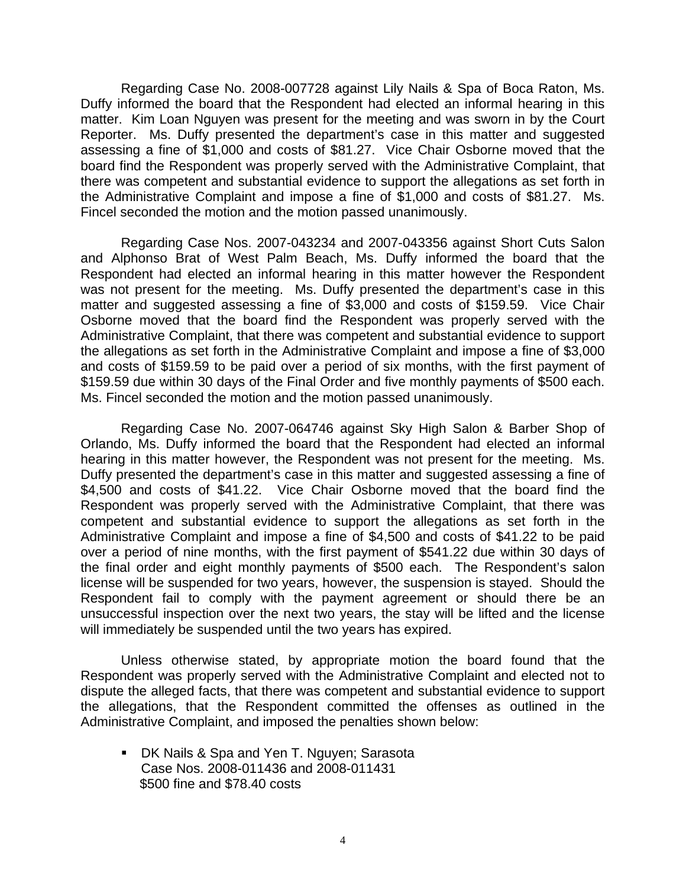Regarding Case No. 2008-007728 against Lily Nails & Spa of Boca Raton, Ms. Duffy informed the board that the Respondent had elected an informal hearing in this matter. Kim Loan Nguyen was present for the meeting and was sworn in by the Court Reporter. Ms. Duffy presented the department's case in this matter and suggested assessing a fine of \$1,000 and costs of \$81.27. Vice Chair Osborne moved that the board find the Respondent was properly served with the Administrative Complaint, that there was competent and substantial evidence to support the allegations as set forth in the Administrative Complaint and impose a fine of \$1,000 and costs of \$81.27. Ms. Fincel seconded the motion and the motion passed unanimously.

 Regarding Case Nos. 2007-043234 and 2007-043356 against Short Cuts Salon and Alphonso Brat of West Palm Beach, Ms. Duffy informed the board that the Respondent had elected an informal hearing in this matter however the Respondent was not present for the meeting. Ms. Duffy presented the department's case in this matter and suggested assessing a fine of \$3,000 and costs of \$159.59. Vice Chair Osborne moved that the board find the Respondent was properly served with the Administrative Complaint, that there was competent and substantial evidence to support the allegations as set forth in the Administrative Complaint and impose a fine of \$3,000 and costs of \$159.59 to be paid over a period of six months, with the first payment of \$159.59 due within 30 days of the Final Order and five monthly payments of \$500 each. Ms. Fincel seconded the motion and the motion passed unanimously.

 Regarding Case No. 2007-064746 against Sky High Salon & Barber Shop of Orlando, Ms. Duffy informed the board that the Respondent had elected an informal hearing in this matter however, the Respondent was not present for the meeting. Ms. Duffy presented the department's case in this matter and suggested assessing a fine of \$4,500 and costs of \$41.22. Vice Chair Osborne moved that the board find the Respondent was properly served with the Administrative Complaint, that there was competent and substantial evidence to support the allegations as set forth in the Administrative Complaint and impose a fine of \$4,500 and costs of \$41.22 to be paid over a period of nine months, with the first payment of \$541.22 due within 30 days of the final order and eight monthly payments of \$500 each. The Respondent's salon license will be suspended for two years, however, the suspension is stayed. Should the Respondent fail to comply with the payment agreement or should there be an unsuccessful inspection over the next two years, the stay will be lifted and the license will immediately be suspended until the two years has expired.

 Unless otherwise stated, by appropriate motion the board found that the Respondent was properly served with the Administrative Complaint and elected not to dispute the alleged facts, that there was competent and substantial evidence to support the allegations, that the Respondent committed the offenses as outlined in the Administrative Complaint, and imposed the penalties shown below:

**DK Nails & Spa and Yen T. Nguyen; Sarasota** Case Nos. 2008-011436 and 2008-011431 \$500 fine and \$78.40 costs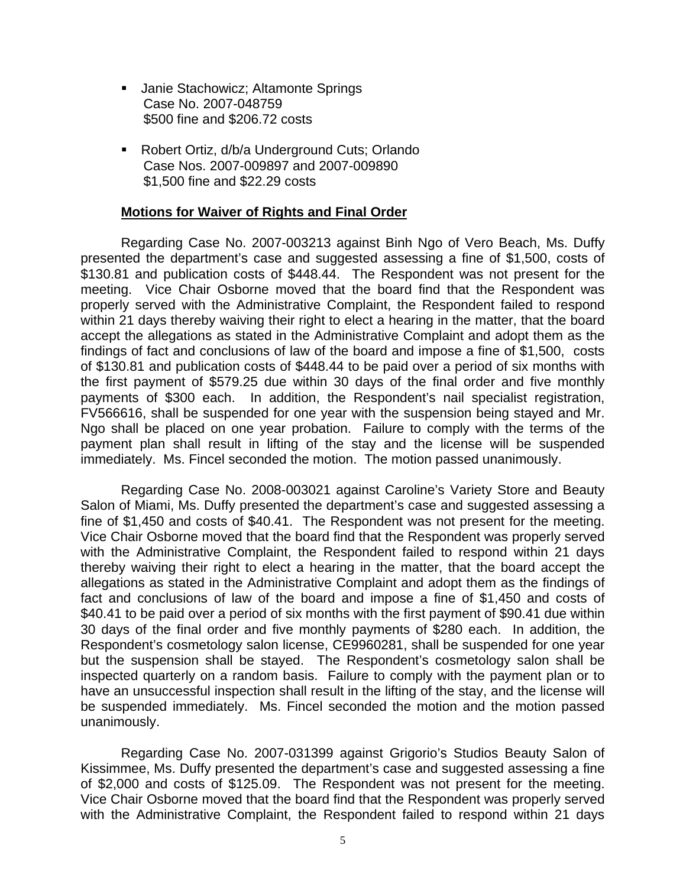- **Janie Stachowicz; Altamonte Springs**  Case No. 2007-048759 \$500 fine and \$206.72 costs
- Robert Ortiz, d/b/a Underground Cuts; Orlando Case Nos. 2007-009897 and 2007-009890 \$1,500 fine and \$22.29 costs

#### **Motions for Waiver of Rights and Final Order**

 Regarding Case No. 2007-003213 against Binh Ngo of Vero Beach, Ms. Duffy presented the department's case and suggested assessing a fine of \$1,500, costs of \$130.81 and publication costs of \$448.44. The Respondent was not present for the meeting. Vice Chair Osborne moved that the board find that the Respondent was properly served with the Administrative Complaint, the Respondent failed to respond within 21 days thereby waiving their right to elect a hearing in the matter, that the board accept the allegations as stated in the Administrative Complaint and adopt them as the findings of fact and conclusions of law of the board and impose a fine of \$1,500, costs of \$130.81 and publication costs of \$448.44 to be paid over a period of six months with the first payment of \$579.25 due within 30 days of the final order and five monthly payments of \$300 each. In addition, the Respondent's nail specialist registration, FV566616, shall be suspended for one year with the suspension being stayed and Mr. Ngo shall be placed on one year probation. Failure to comply with the terms of the payment plan shall result in lifting of the stay and the license will be suspended immediately. Ms. Fincel seconded the motion. The motion passed unanimously.

 Regarding Case No. 2008-003021 against Caroline's Variety Store and Beauty Salon of Miami, Ms. Duffy presented the department's case and suggested assessing a fine of \$1,450 and costs of \$40.41. The Respondent was not present for the meeting. Vice Chair Osborne moved that the board find that the Respondent was properly served with the Administrative Complaint, the Respondent failed to respond within 21 days thereby waiving their right to elect a hearing in the matter, that the board accept the allegations as stated in the Administrative Complaint and adopt them as the findings of fact and conclusions of law of the board and impose a fine of \$1,450 and costs of \$40.41 to be paid over a period of six months with the first payment of \$90.41 due within 30 days of the final order and five monthly payments of \$280 each. In addition, the Respondent's cosmetology salon license, CE9960281, shall be suspended for one year but the suspension shall be stayed. The Respondent's cosmetology salon shall be inspected quarterly on a random basis. Failure to comply with the payment plan or to have an unsuccessful inspection shall result in the lifting of the stay, and the license will be suspended immediately. Ms. Fincel seconded the motion and the motion passed unanimously.

 Regarding Case No. 2007-031399 against Grigorio's Studios Beauty Salon of Kissimmee, Ms. Duffy presented the department's case and suggested assessing a fine of \$2,000 and costs of \$125.09. The Respondent was not present for the meeting. Vice Chair Osborne moved that the board find that the Respondent was properly served with the Administrative Complaint, the Respondent failed to respond within 21 days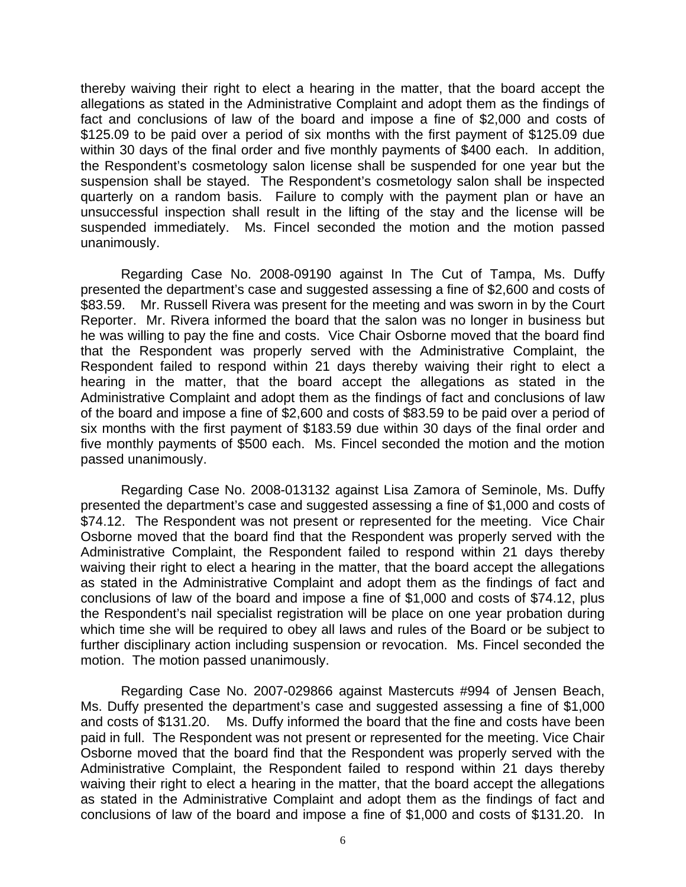thereby waiving their right to elect a hearing in the matter, that the board accept the allegations as stated in the Administrative Complaint and adopt them as the findings of fact and conclusions of law of the board and impose a fine of \$2,000 and costs of \$125.09 to be paid over a period of six months with the first payment of \$125.09 due within 30 days of the final order and five monthly payments of \$400 each. In addition, the Respondent's cosmetology salon license shall be suspended for one year but the suspension shall be stayed. The Respondent's cosmetology salon shall be inspected quarterly on a random basis. Failure to comply with the payment plan or have an unsuccessful inspection shall result in the lifting of the stay and the license will be suspended immediately. Ms. Fincel seconded the motion and the motion passed unanimously.

 Regarding Case No. 2008-09190 against In The Cut of Tampa, Ms. Duffy presented the department's case and suggested assessing a fine of \$2,600 and costs of \$83.59. Mr. Russell Rivera was present for the meeting and was sworn in by the Court Reporter. Mr. Rivera informed the board that the salon was no longer in business but he was willing to pay the fine and costs. Vice Chair Osborne moved that the board find that the Respondent was properly served with the Administrative Complaint, the Respondent failed to respond within 21 days thereby waiving their right to elect a hearing in the matter, that the board accept the allegations as stated in the Administrative Complaint and adopt them as the findings of fact and conclusions of law of the board and impose a fine of \$2,600 and costs of \$83.59 to be paid over a period of six months with the first payment of \$183.59 due within 30 days of the final order and five monthly payments of \$500 each. Ms. Fincel seconded the motion and the motion passed unanimously.

 Regarding Case No. 2008-013132 against Lisa Zamora of Seminole, Ms. Duffy presented the department's case and suggested assessing a fine of \$1,000 and costs of \$74.12. The Respondent was not present or represented for the meeting. Vice Chair Osborne moved that the board find that the Respondent was properly served with the Administrative Complaint, the Respondent failed to respond within 21 days thereby waiving their right to elect a hearing in the matter, that the board accept the allegations as stated in the Administrative Complaint and adopt them as the findings of fact and conclusions of law of the board and impose a fine of \$1,000 and costs of \$74.12, plus the Respondent's nail specialist registration will be place on one year probation during which time she will be required to obey all laws and rules of the Board or be subject to further disciplinary action including suspension or revocation. Ms. Fincel seconded the motion. The motion passed unanimously.

 Regarding Case No. 2007-029866 against Mastercuts #994 of Jensen Beach, Ms. Duffy presented the department's case and suggested assessing a fine of \$1,000 and costs of \$131.20. Ms. Duffy informed the board that the fine and costs have been paid in full. The Respondent was not present or represented for the meeting. Vice Chair Osborne moved that the board find that the Respondent was properly served with the Administrative Complaint, the Respondent failed to respond within 21 days thereby waiving their right to elect a hearing in the matter, that the board accept the allegations as stated in the Administrative Complaint and adopt them as the findings of fact and conclusions of law of the board and impose a fine of \$1,000 and costs of \$131.20. In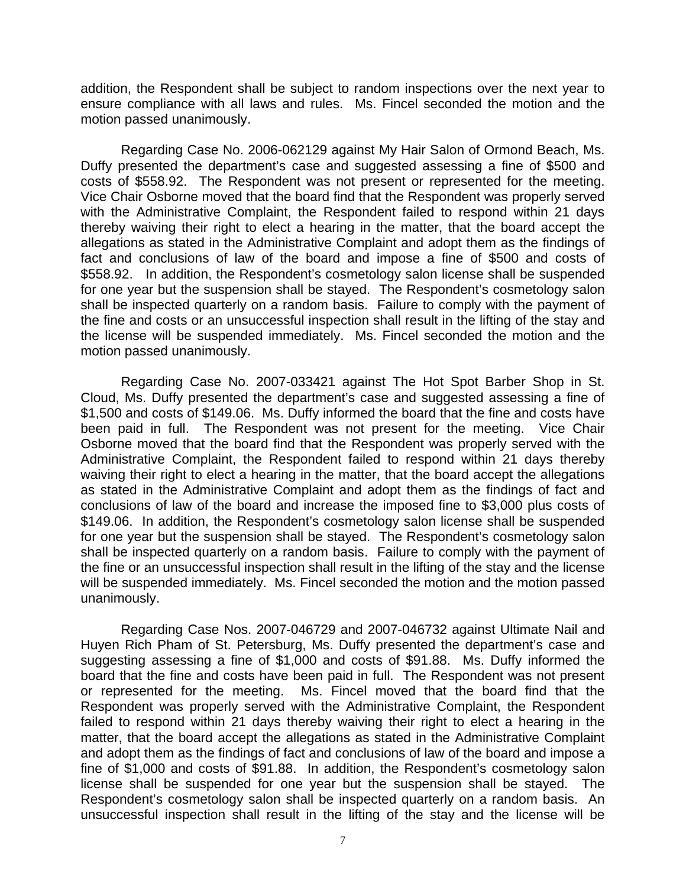addition, the Respondent shall be subject to random inspections over the next year to ensure compliance with all laws and rules. Ms. Fincel seconded the motion and the motion passed unanimously.

 Regarding Case No. 2006-062129 against My Hair Salon of Ormond Beach, Ms. Duffy presented the department's case and suggested assessing a fine of \$500 and costs of \$558.92. The Respondent was not present or represented for the meeting. Vice Chair Osborne moved that the board find that the Respondent was properly served with the Administrative Complaint, the Respondent failed to respond within 21 days thereby waiving their right to elect a hearing in the matter, that the board accept the allegations as stated in the Administrative Complaint and adopt them as the findings of fact and conclusions of law of the board and impose a fine of \$500 and costs of \$558.92. In addition, the Respondent's cosmetology salon license shall be suspended for one year but the suspension shall be stayed. The Respondent's cosmetology salon shall be inspected quarterly on a random basis. Failure to comply with the payment of the fine and costs or an unsuccessful inspection shall result in the lifting of the stay and the license will be suspended immediately. Ms. Fincel seconded the motion and the motion passed unanimously.

 Regarding Case No. 2007-033421 against The Hot Spot Barber Shop in St. Cloud, Ms. Duffy presented the department's case and suggested assessing a fine of \$1,500 and costs of \$149.06. Ms. Duffy informed the board that the fine and costs have been paid in full. The Respondent was not present for the meeting. Vice Chair Osborne moved that the board find that the Respondent was properly served with the Administrative Complaint, the Respondent failed to respond within 21 days thereby waiving their right to elect a hearing in the matter, that the board accept the allegations as stated in the Administrative Complaint and adopt them as the findings of fact and conclusions of law of the board and increase the imposed fine to \$3,000 plus costs of \$149.06. In addition, the Respondent's cosmetology salon license shall be suspended for one year but the suspension shall be stayed. The Respondent's cosmetology salon shall be inspected quarterly on a random basis. Failure to comply with the payment of the fine or an unsuccessful inspection shall result in the lifting of the stay and the license will be suspended immediately. Ms. Fincel seconded the motion and the motion passed unanimously.

 Regarding Case Nos. 2007-046729 and 2007-046732 against Ultimate Nail and Huyen Rich Pham of St. Petersburg, Ms. Duffy presented the department's case and suggesting assessing a fine of \$1,000 and costs of \$91.88. Ms. Duffy informed the board that the fine and costs have been paid in full. The Respondent was not present or represented for the meeting. Ms. Fincel moved that the board find that the Respondent was properly served with the Administrative Complaint, the Respondent failed to respond within 21 days thereby waiving their right to elect a hearing in the matter, that the board accept the allegations as stated in the Administrative Complaint and adopt them as the findings of fact and conclusions of law of the board and impose a fine of \$1,000 and costs of \$91.88. In addition, the Respondent's cosmetology salon license shall be suspended for one year but the suspension shall be stayed. The Respondent's cosmetology salon shall be inspected quarterly on a random basis. An unsuccessful inspection shall result in the lifting of the stay and the license will be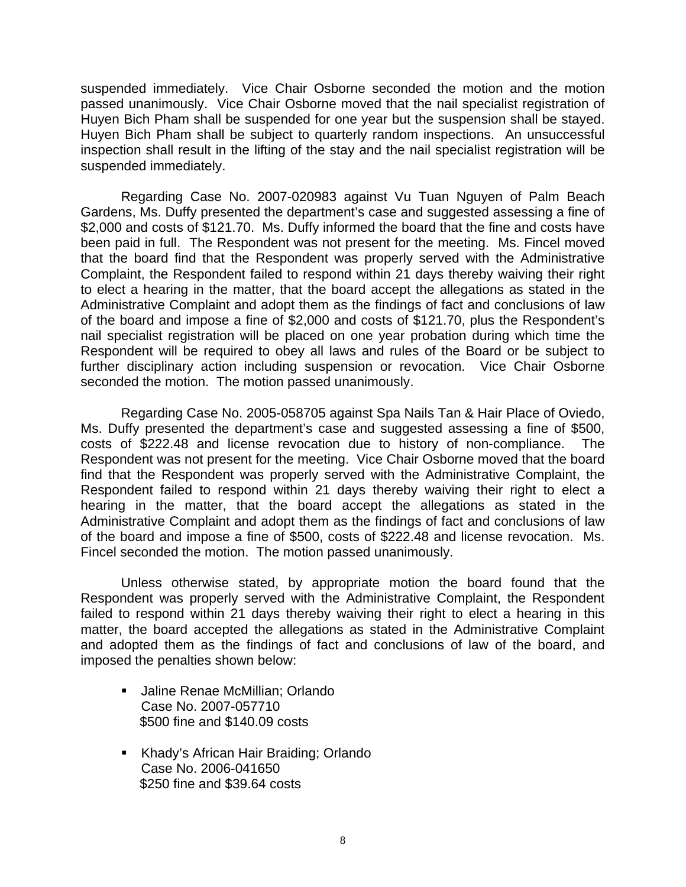suspended immediately. Vice Chair Osborne seconded the motion and the motion passed unanimously. Vice Chair Osborne moved that the nail specialist registration of Huyen Bich Pham shall be suspended for one year but the suspension shall be stayed. Huyen Bich Pham shall be subject to quarterly random inspections. An unsuccessful inspection shall result in the lifting of the stay and the nail specialist registration will be suspended immediately.

 Regarding Case No. 2007-020983 against Vu Tuan Nguyen of Palm Beach Gardens, Ms. Duffy presented the department's case and suggested assessing a fine of \$2,000 and costs of \$121.70. Ms. Duffy informed the board that the fine and costs have been paid in full. The Respondent was not present for the meeting. Ms. Fincel moved that the board find that the Respondent was properly served with the Administrative Complaint, the Respondent failed to respond within 21 days thereby waiving their right to elect a hearing in the matter, that the board accept the allegations as stated in the Administrative Complaint and adopt them as the findings of fact and conclusions of law of the board and impose a fine of \$2,000 and costs of \$121.70, plus the Respondent's nail specialist registration will be placed on one year probation during which time the Respondent will be required to obey all laws and rules of the Board or be subject to further disciplinary action including suspension or revocation. Vice Chair Osborne seconded the motion. The motion passed unanimously.

 Regarding Case No. 2005-058705 against Spa Nails Tan & Hair Place of Oviedo, Ms. Duffy presented the department's case and suggested assessing a fine of \$500, costs of \$222.48 and license revocation due to history of non-compliance. The Respondent was not present for the meeting. Vice Chair Osborne moved that the board find that the Respondent was properly served with the Administrative Complaint, the Respondent failed to respond within 21 days thereby waiving their right to elect a hearing in the matter, that the board accept the allegations as stated in the Administrative Complaint and adopt them as the findings of fact and conclusions of law of the board and impose a fine of \$500, costs of \$222.48 and license revocation. Ms. Fincel seconded the motion. The motion passed unanimously.

 Unless otherwise stated, by appropriate motion the board found that the Respondent was properly served with the Administrative Complaint, the Respondent failed to respond within 21 days thereby waiving their right to elect a hearing in this matter, the board accepted the allegations as stated in the Administrative Complaint and adopted them as the findings of fact and conclusions of law of the board, and imposed the penalties shown below:

- Jaline Renae McMillian; Orlando Case No. 2007-057710 \$500 fine and \$140.09 costs
- **Khady's African Hair Braiding; Orlando** Case No. 2006-041650 \$250 fine and \$39.64 costs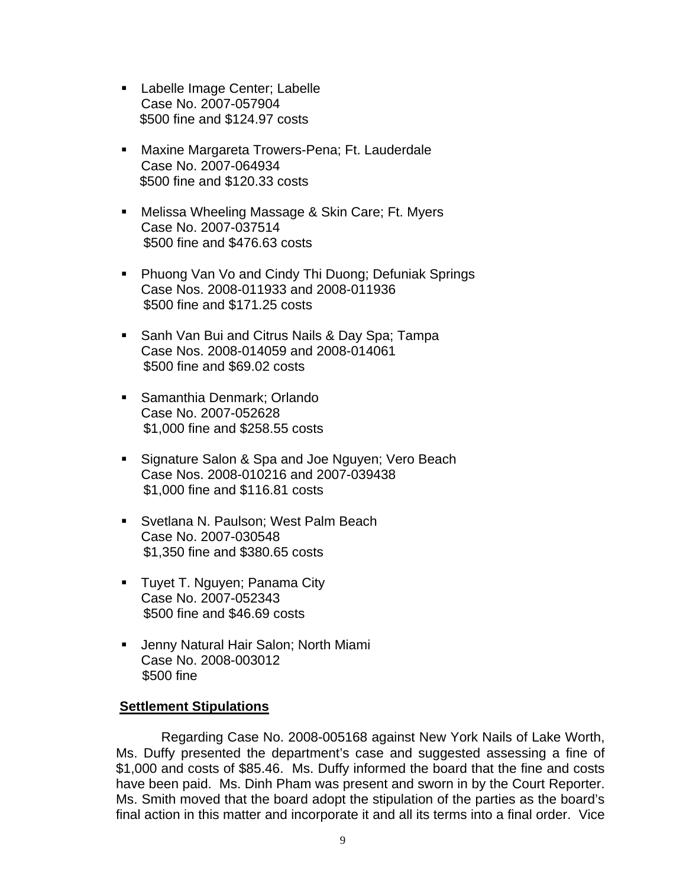- **Example Image Center; Labelle** Case No. 2007-057904 \$500 fine and \$124.97 costs
- **Maxine Margareta Trowers-Pena; Ft. Lauderdale** Case No. 2007-064934 \$500 fine and \$120.33 costs
- **Melissa Wheeling Massage & Skin Care; Ft. Myers** Case No. 2007-037514 \$500 fine and \$476.63 costs
- Phuong Van Vo and Cindy Thi Duong; Defuniak Springs Case Nos. 2008-011933 and 2008-011936 \$500 fine and \$171.25 costs
- **Sanh Van Bui and Citrus Nails & Day Spa; Tampa** Case Nos. 2008-014059 and 2008-014061 \$500 fine and \$69.02 costs
- Samanthia Denmark: Orlando Case No. 2007-052628 \$1,000 fine and \$258.55 costs
- **Signature Salon & Spa and Joe Nguyen; Vero Beach** Case Nos. 2008-010216 and 2007-039438 \$1,000 fine and \$116.81 costs
- **Svetlana N. Paulson; West Palm Beach** Case No. 2007-030548 \$1,350 fine and \$380.65 costs
- **Tuyet T. Nguyen; Panama City** Case No. 2007-052343 \$500 fine and \$46.69 costs
- **Jenny Natural Hair Salon; North Miami** Case No. 2008-003012 \$500 fine

## **Settlement Stipulations**

 Regarding Case No. 2008-005168 against New York Nails of Lake Worth, Ms. Duffy presented the department's case and suggested assessing a fine of \$1,000 and costs of \$85.46. Ms. Duffy informed the board that the fine and costs have been paid. Ms. Dinh Pham was present and sworn in by the Court Reporter. Ms. Smith moved that the board adopt the stipulation of the parties as the board's final action in this matter and incorporate it and all its terms into a final order. Vice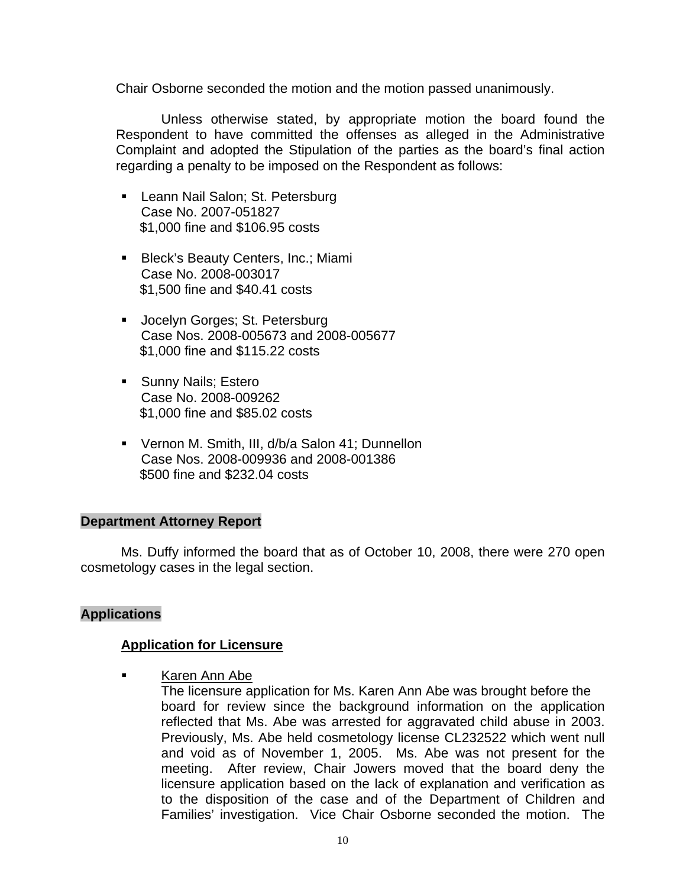Chair Osborne seconded the motion and the motion passed unanimously.

 Unless otherwise stated, by appropriate motion the board found the Respondent to have committed the offenses as alleged in the Administrative Complaint and adopted the Stipulation of the parties as the board's final action regarding a penalty to be imposed on the Respondent as follows:

- **Leann Nail Salon; St. Petersburg** Case No. 2007-051827 \$1,000 fine and \$106.95 costs
- **Bleck's Beauty Centers, Inc.; Miami** Case No. 2008-003017 \$1,500 fine and \$40.41 costs
- **Jocelyn Gorges; St. Petersburg** Case Nos. 2008-005673 and 2008-005677 \$1,000 fine and \$115.22 costs
- **Sunny Nails; Estero** Case No. 2008-009262 \$1,000 fine and \$85.02 costs
- Vernon M. Smith, III, d/b/a Salon 41; Dunnellon Case Nos. 2008-009936 and 2008-001386 \$500 fine and \$232.04 costs

## **Department Attorney Report**

Ms. Duffy informed the board that as of October 10, 2008, there were 270 open cosmetology cases in the legal section.

## **Applications**

## **Application for Licensure**

Karen Ann Abe

 The licensure application for Ms. Karen Ann Abe was brought before the board for review since the background information on the application reflected that Ms. Abe was arrested for aggravated child abuse in 2003. Previously, Ms. Abe held cosmetology license CL232522 which went null and void as of November 1, 2005. Ms. Abe was not present for the meeting. After review, Chair Jowers moved that the board deny the licensure application based on the lack of explanation and verification as to the disposition of the case and of the Department of Children and Families' investigation. Vice Chair Osborne seconded the motion. The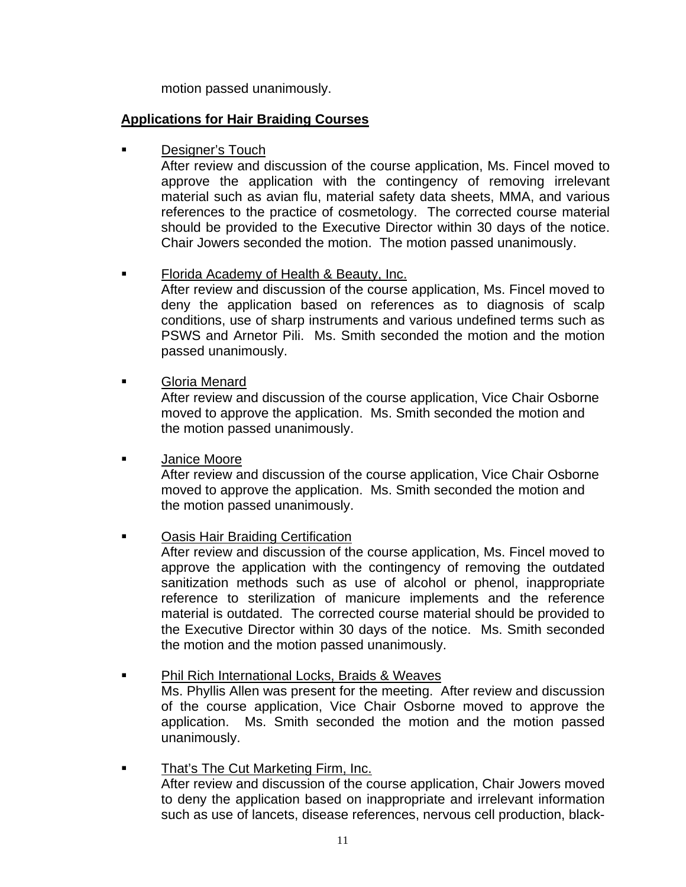motion passed unanimously.

# **Applications for Hair Braiding Courses**

**Designer's Touch** 

After review and discussion of the course application, Ms. Fincel moved to approve the application with the contingency of removing irrelevant material such as avian flu, material safety data sheets, MMA, and various references to the practice of cosmetology. The corrected course material should be provided to the Executive Director within 30 days of the notice. Chair Jowers seconded the motion. The motion passed unanimously.

# **Florida Academy of Health & Beauty, Inc.**

After review and discussion of the course application, Ms. Fincel moved to deny the application based on references as to diagnosis of scalp conditions, use of sharp instruments and various undefined terms such as PSWS and Arnetor Pili. Ms. Smith seconded the motion and the motion passed unanimously.

Gloria Menard

 After review and discussion of the course application, Vice Chair Osborne moved to approve the application. Ms. Smith seconded the motion and the motion passed unanimously.

## Janice Moore

 After review and discussion of the course application, Vice Chair Osborne moved to approve the application. Ms. Smith seconded the motion and the motion passed unanimously.

# Oasis Hair Braiding Certification

After review and discussion of the course application, Ms. Fincel moved to approve the application with the contingency of removing the outdated sanitization methods such as use of alcohol or phenol, inappropriate reference to sterilization of manicure implements and the reference material is outdated. The corrected course material should be provided to the Executive Director within 30 days of the notice. Ms. Smith seconded the motion and the motion passed unanimously.

## **Phil Rich International Locks, Braids & Weaves**

Ms. Phyllis Allen was present for the meeting. After review and discussion of the course application, Vice Chair Osborne moved to approve the application. Ms. Smith seconded the motion and the motion passed unanimously.

## **That's The Cut Marketing Firm, Inc.** After review and discussion of the course application, Chair Jowers moved to deny the application based on inappropriate and irrelevant information such as use of lancets, disease references, nervous cell production, black-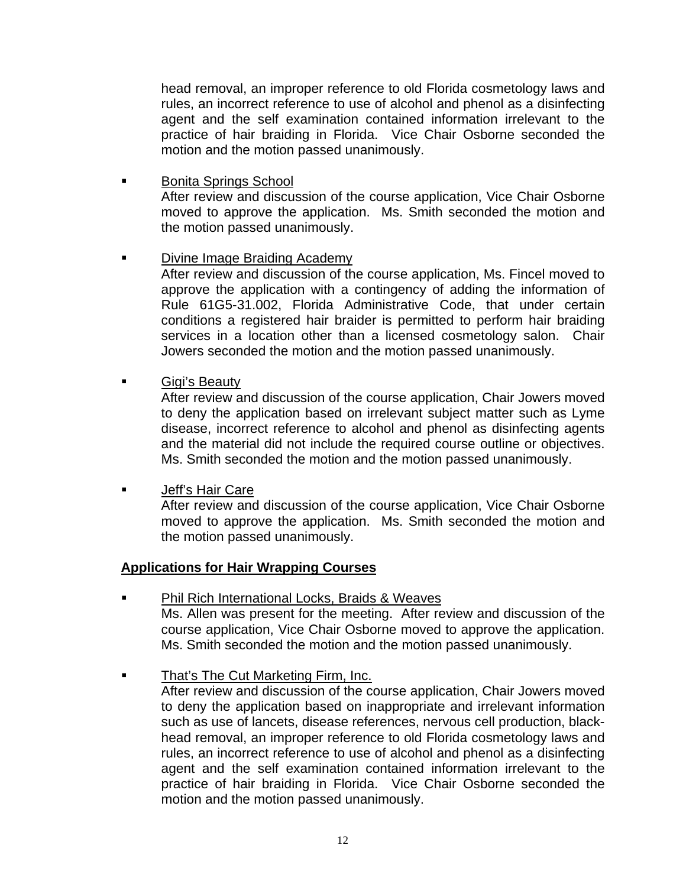head removal, an improper reference to old Florida cosmetology laws and rules, an incorrect reference to use of alcohol and phenol as a disinfecting agent and the self examination contained information irrelevant to the practice of hair braiding in Florida. Vice Chair Osborne seconded the motion and the motion passed unanimously.

- Bonita Springs School After review and discussion of the course application, Vice Chair Osborne moved to approve the application. Ms. Smith seconded the motion and the motion passed unanimously.
- Divine Image Braiding Academy

After review and discussion of the course application, Ms. Fincel moved to approve the application with a contingency of adding the information of Rule 61G5-31.002, Florida Administrative Code, that under certain conditions a registered hair braider is permitted to perform hair braiding services in a location other than a licensed cosmetology salon. Chair Jowers seconded the motion and the motion passed unanimously.

Gigi's Beauty

After review and discussion of the course application, Chair Jowers moved to deny the application based on irrelevant subject matter such as Lyme disease, incorrect reference to alcohol and phenol as disinfecting agents and the material did not include the required course outline or objectives. Ms. Smith seconded the motion and the motion passed unanimously.

Jeff's Hair Care

After review and discussion of the course application, Vice Chair Osborne moved to approve the application. Ms. Smith seconded the motion and the motion passed unanimously.

## **Applications for Hair Wrapping Courses**

- Phil Rich International Locks, Braids & Weaves Ms. Allen was present for the meeting. After review and discussion of the course application, Vice Chair Osborne moved to approve the application. Ms. Smith seconded the motion and the motion passed unanimously.
- That's The Cut Marketing Firm, Inc.

After review and discussion of the course application, Chair Jowers moved to deny the application based on inappropriate and irrelevant information such as use of lancets, disease references, nervous cell production, blackhead removal, an improper reference to old Florida cosmetology laws and rules, an incorrect reference to use of alcohol and phenol as a disinfecting agent and the self examination contained information irrelevant to the practice of hair braiding in Florida. Vice Chair Osborne seconded the motion and the motion passed unanimously.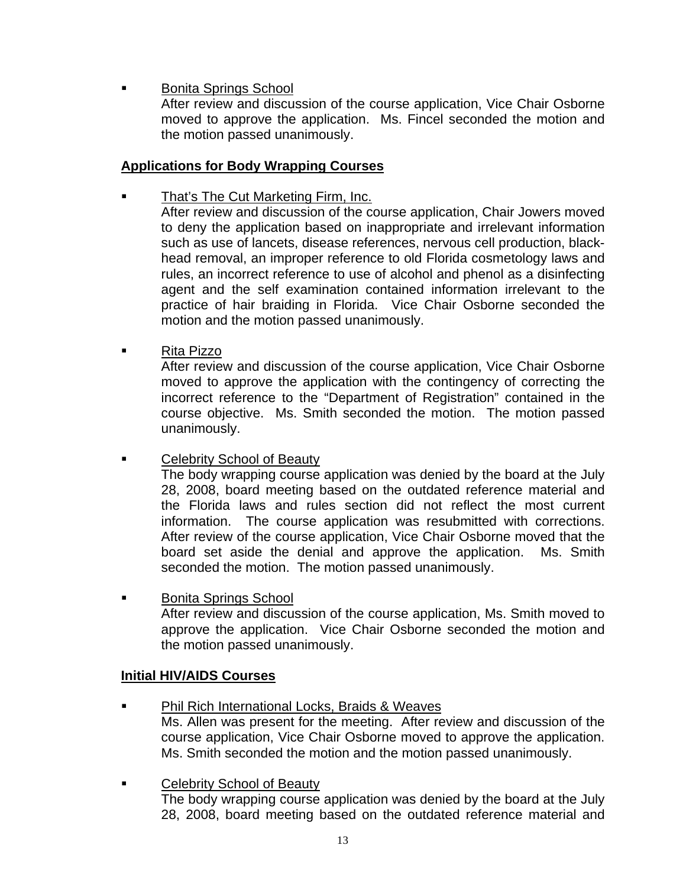- Bonita Springs School
	- After review and discussion of the course application, Vice Chair Osborne moved to approve the application. Ms. Fincel seconded the motion and the motion passed unanimously.

# **Applications for Body Wrapping Courses**

That's The Cut Marketing Firm, Inc.

After review and discussion of the course application, Chair Jowers moved to deny the application based on inappropriate and irrelevant information such as use of lancets, disease references, nervous cell production, blackhead removal, an improper reference to old Florida cosmetology laws and rules, an incorrect reference to use of alcohol and phenol as a disinfecting agent and the self examination contained information irrelevant to the practice of hair braiding in Florida. Vice Chair Osborne seconded the motion and the motion passed unanimously.

■ Rita Pizzo

After review and discussion of the course application, Vice Chair Osborne moved to approve the application with the contingency of correcting the incorrect reference to the "Department of Registration" contained in the course objective. Ms. Smith seconded the motion. The motion passed unanimously.

**Example 2** Celebrity School of Beauty

The body wrapping course application was denied by the board at the July 28, 2008, board meeting based on the outdated reference material and the Florida laws and rules section did not reflect the most current information. The course application was resubmitted with corrections. After review of the course application, Vice Chair Osborne moved that the board set aside the denial and approve the application. Ms. Smith seconded the motion. The motion passed unanimously.

**Bonita Springs School** After review and discussion of the course application, Ms. Smith moved to approve the application. Vice Chair Osborne seconded the motion and the motion passed unanimously.

# **Initial HIV/AIDS Courses**

- Phil Rich International Locks, Braids & Weaves Ms. Allen was present for the meeting. After review and discussion of the course application, Vice Chair Osborne moved to approve the application. Ms. Smith seconded the motion and the motion passed unanimously.
- Celebrity School of Beauty The body wrapping course application was denied by the board at the July 28, 2008, board meeting based on the outdated reference material and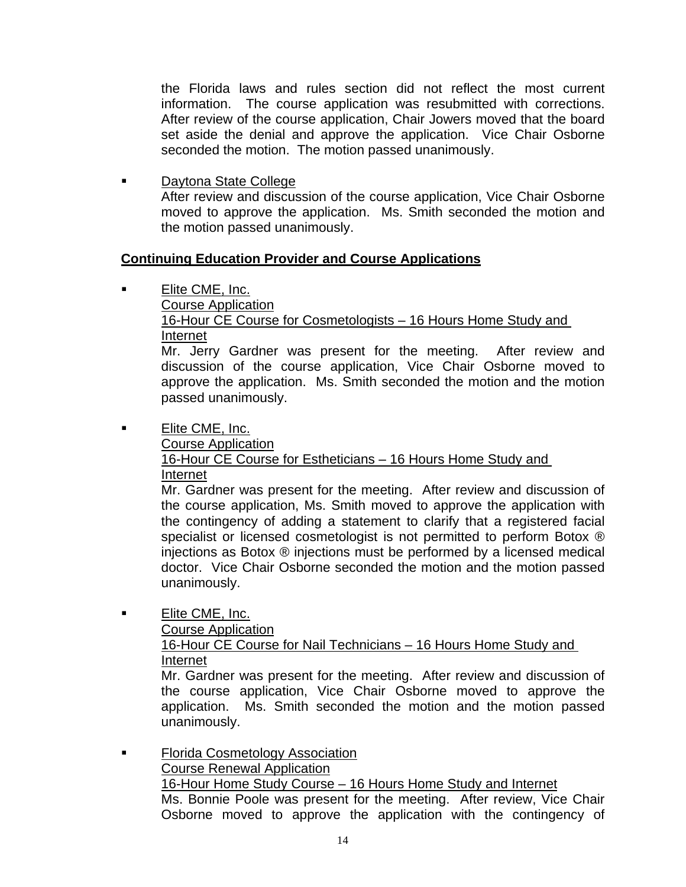the Florida laws and rules section did not reflect the most current information. The course application was resubmitted with corrections. After review of the course application, Chair Jowers moved that the board set aside the denial and approve the application. Vice Chair Osborne seconded the motion. The motion passed unanimously.

 Daytona State College After review and discussion of the course application, Vice Chair Osborne moved to approve the application. Ms. Smith seconded the motion and the motion passed unanimously.

# **Continuing Education Provider and Course Applications**

Elite CME, Inc.

Course Application

 16-Hour CE Course for Cosmetologists – 16 Hours Home Study and Internet

Mr. Jerry Gardner was present for the meeting. After review and discussion of the course application, Vice Chair Osborne moved to approve the application. Ms. Smith seconded the motion and the motion passed unanimously.

■ Elite CME, Inc.

Course Application

 16-Hour CE Course for Estheticians – 16 Hours Home Study and Internet

Mr. Gardner was present for the meeting. After review and discussion of the course application, Ms. Smith moved to approve the application with the contingency of adding a statement to clarify that a registered facial specialist or licensed cosmetologist is not permitted to perform Botox ® injections as Botox ® injections must be performed by a licensed medical doctor. Vice Chair Osborne seconded the motion and the motion passed unanimously.

**Elite CME, Inc.** 

Course Application

16-Hour CE Course for Nail Technicians - 16 Hours Home Study and Internet

Mr. Gardner was present for the meeting. After review and discussion of the course application, Vice Chair Osborne moved to approve the application. Ms. Smith seconded the motion and the motion passed unanimously.

**Florida Cosmetology Association**  Course Renewal Application 16-Hour Home Study Course – 16 Hours Home Study and Internet Ms. Bonnie Poole was present for the meeting. After review, Vice Chair Osborne moved to approve the application with the contingency of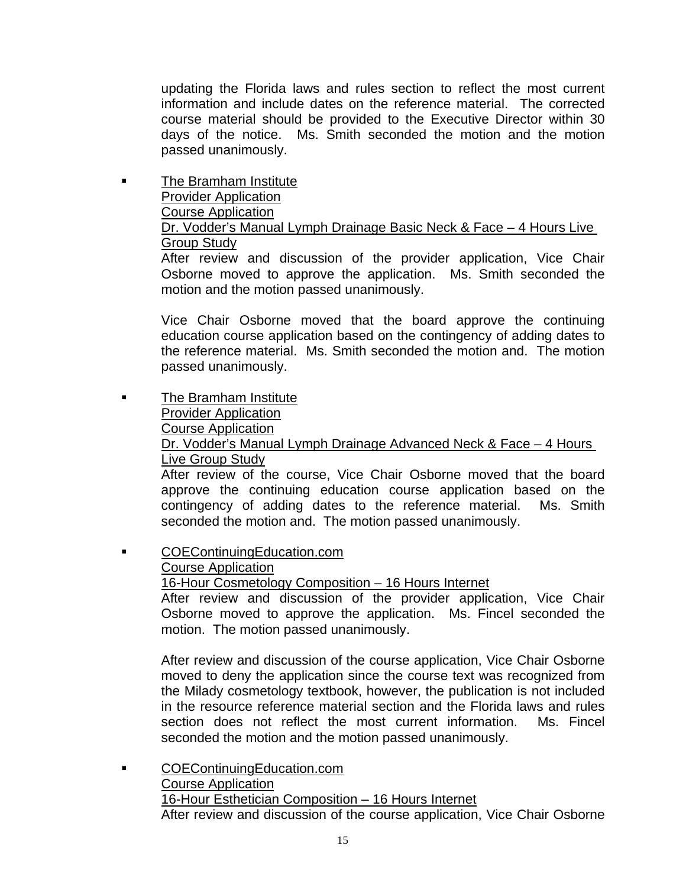updating the Florida laws and rules section to reflect the most current information and include dates on the reference material. The corrected course material should be provided to the Executive Director within 30 days of the notice. Ms. Smith seconded the motion and the motion passed unanimously.

 The Bramham Institute Provider Application Course Application Dr. Vodder's Manual Lymph Drainage Basic Neck & Face - 4 Hours Live Group Study

After review and discussion of the provider application, Vice Chair Osborne moved to approve the application. Ms. Smith seconded the motion and the motion passed unanimously.

Vice Chair Osborne moved that the board approve the continuing education course application based on the contingency of adding dates to the reference material. Ms. Smith seconded the motion and. The motion passed unanimously.

- **The Bramham Institute**  Provider Application Course Application Dr. Vodder's Manual Lymph Drainage Advanced Neck & Face – 4 Hours Live Group Study After review of the course, Vice Chair Osborne moved that the board approve the continuing education course application based on the contingency of adding dates to the reference material. Ms. Smith seconded the motion and. The motion passed unanimously.
- COEContinuingEducation.com Course Application

16-Hour Cosmetology Composition – 16 Hours Internet

After review and discussion of the provider application, Vice Chair Osborne moved to approve the application. Ms. Fincel seconded the motion. The motion passed unanimously.

After review and discussion of the course application, Vice Chair Osborne moved to deny the application since the course text was recognized from the Milady cosmetology textbook, however, the publication is not included in the resource reference material section and the Florida laws and rules section does not reflect the most current information. Ms. Fincel seconded the motion and the motion passed unanimously.

 COEContinuingEducation.com Course Application 16-Hour Esthetician Composition – 16 Hours Internet After review and discussion of the course application, Vice Chair Osborne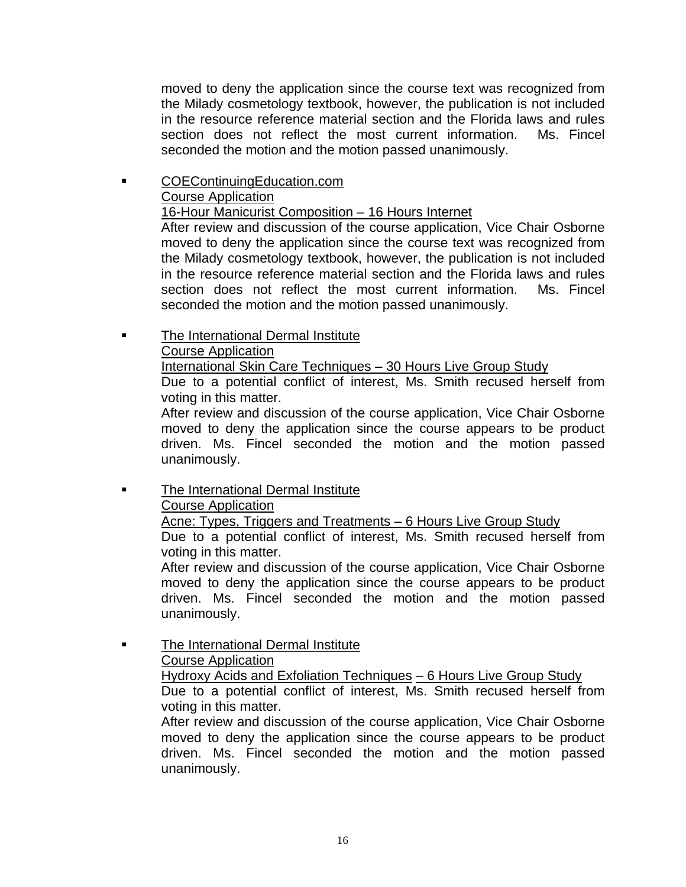moved to deny the application since the course text was recognized from the Milady cosmetology textbook, however, the publication is not included in the resource reference material section and the Florida laws and rules section does not reflect the most current information. Ms. Fincel seconded the motion and the motion passed unanimously.

 COEContinuingEducation.com Course Application 16-Hour Manicurist Composition - 16 Hours Internet

After review and discussion of the course application, Vice Chair Osborne moved to deny the application since the course text was recognized from the Milady cosmetology textbook, however, the publication is not included in the resource reference material section and the Florida laws and rules section does not reflect the most current information. Ms. Fincel seconded the motion and the motion passed unanimously.

# The International Dermal Institute

Course Application

International Skin Care Techniques – 30 Hours Live Group Study

Due to a potential conflict of interest, Ms. Smith recused herself from voting in this matter.

After review and discussion of the course application, Vice Chair Osborne moved to deny the application since the course appears to be product driven. Ms. Fincel seconded the motion and the motion passed unanimously.

# **The International Dermal Institute**

# Course Application

Acne: Types, Triggers and Treatments - 6 Hours Live Group Study

Due to a potential conflict of interest, Ms. Smith recused herself from voting in this matter.

After review and discussion of the course application, Vice Chair Osborne moved to deny the application since the course appears to be product driven. Ms. Fincel seconded the motion and the motion passed unanimously.

 The International Dermal Institute Course Application Hydroxy Acids and Exfoliation Techniques – 6 Hours Live Group Study Due to a potential conflict of interest, Ms. Smith recused herself from voting in this matter.

After review and discussion of the course application, Vice Chair Osborne moved to deny the application since the course appears to be product driven. Ms. Fincel seconded the motion and the motion passed unanimously.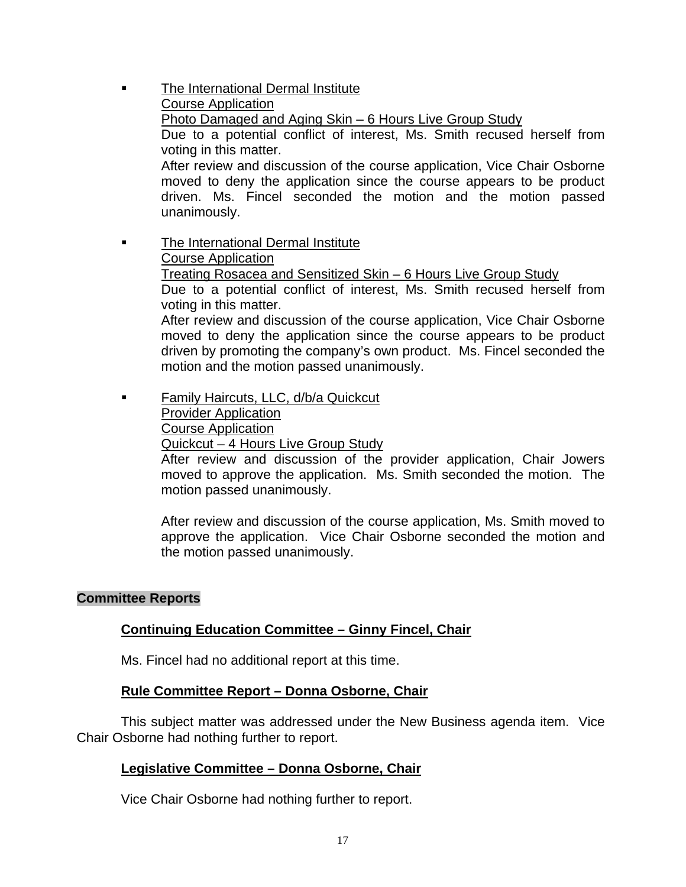The International Dermal Institute Course Application Photo Damaged and Aging Skin – 6 Hours Live Group Study Due to a potential conflict of interest, Ms. Smith recused herself from voting in this matter. After review and discussion of the course application, Vice Chair Osborne moved to deny the application since the course appears to be product driven. Ms. Fincel seconded the motion and the motion passed unanimously. **The International Dermal Institute**  Course Application Treating Rosacea and Sensitized Skin – 6 Hours Live Group Study Due to a potential conflict of interest, Ms. Smith recused herself from

voting in this matter. After review and discussion of the course application, Vice Chair Osborne

moved to deny the application since the course appears to be product driven by promoting the company's own product. Ms. Fincel seconded the motion and the motion passed unanimously.

**Family Haircuts, LLC, d/b/a Quickcut**  Provider Application Course Application Quickcut – 4 Hours Live Group Study

After review and discussion of the provider application, Chair Jowers moved to approve the application. Ms. Smith seconded the motion. The motion passed unanimously.

After review and discussion of the course application, Ms. Smith moved to approve the application. Vice Chair Osborne seconded the motion and the motion passed unanimously.

#### **Committee Reports**

#### **Continuing Education Committee – Ginny Fincel, Chair**

Ms. Fincel had no additional report at this time.

#### **Rule Committee Report – Donna Osborne, Chair**

 This subject matter was addressed under the New Business agenda item. Vice Chair Osborne had nothing further to report.

#### **Legislative Committee – Donna Osborne, Chair**

Vice Chair Osborne had nothing further to report.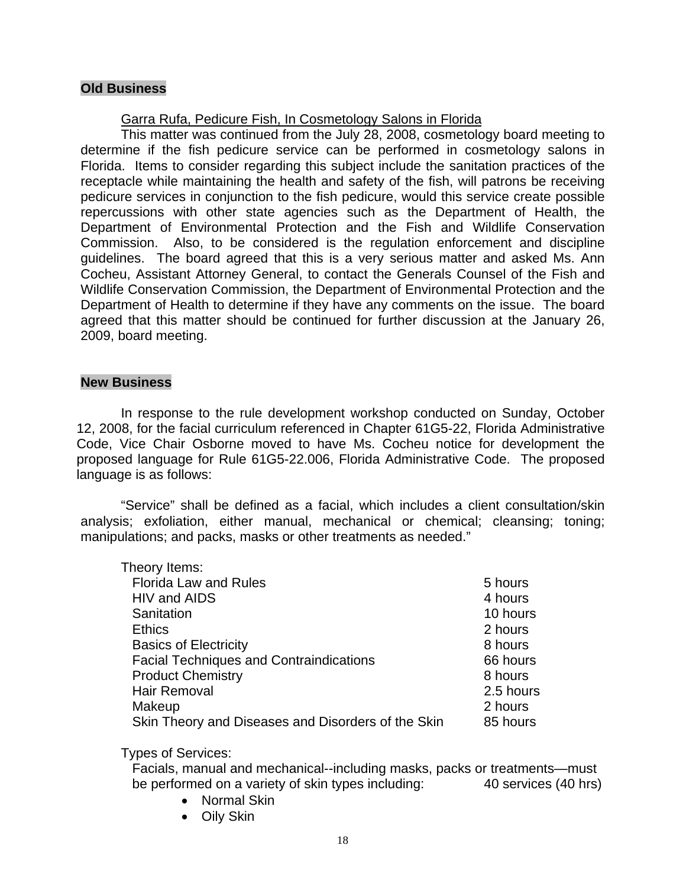## **Old Business**

# Garra Rufa, Pedicure Fish, In Cosmetology Salons in Florida

 This matter was continued from the July 28, 2008, cosmetology board meeting to determine if the fish pedicure service can be performed in cosmetology salons in Florida. Items to consider regarding this subject include the sanitation practices of the receptacle while maintaining the health and safety of the fish, will patrons be receiving pedicure services in conjunction to the fish pedicure, would this service create possible repercussions with other state agencies such as the Department of Health, the Department of Environmental Protection and the Fish and Wildlife Conservation Commission. Also, to be considered is the regulation enforcement and discipline guidelines. The board agreed that this is a very serious matter and asked Ms. Ann Cocheu, Assistant Attorney General, to contact the Generals Counsel of the Fish and Wildlife Conservation Commission, the Department of Environmental Protection and the Department of Health to determine if they have any comments on the issue. The board agreed that this matter should be continued for further discussion at the January 26, 2009, board meeting.

#### **New Business**

 In response to the rule development workshop conducted on Sunday, October 12, 2008, for the facial curriculum referenced in Chapter 61G5-22, Florida Administrative Code, Vice Chair Osborne moved to have Ms. Cocheu notice for development the proposed language for Rule 61G5-22.006, Florida Administrative Code. The proposed language is as follows:

 "Service" shall be defined as a facial, which includes a client consultation/skin analysis; exfoliation, either manual, mechanical or chemical; cleansing; toning; manipulations; and packs, masks or other treatments as needed."

| Theory Items:                                      |           |
|----------------------------------------------------|-----------|
| <b>Florida Law and Rules</b>                       | 5 hours   |
| HIV and AIDS                                       | 4 hours   |
| Sanitation                                         | 10 hours  |
| <b>Ethics</b>                                      | 2 hours   |
| <b>Basics of Electricity</b>                       | 8 hours   |
| <b>Facial Techniques and Contraindications</b>     | 66 hours  |
| <b>Product Chemistry</b>                           | 8 hours   |
| Hair Removal                                       | 2.5 hours |
| Makeup                                             | 2 hours   |
| Skin Theory and Diseases and Disorders of the Skin | 85 hours  |
|                                                    |           |

Types of Services:

 Facials, manual and mechanical--including masks, packs or treatments—must be performed on a variety of skin types including: 40 services (40 hrs)

- Normal Skin
- Oily Skin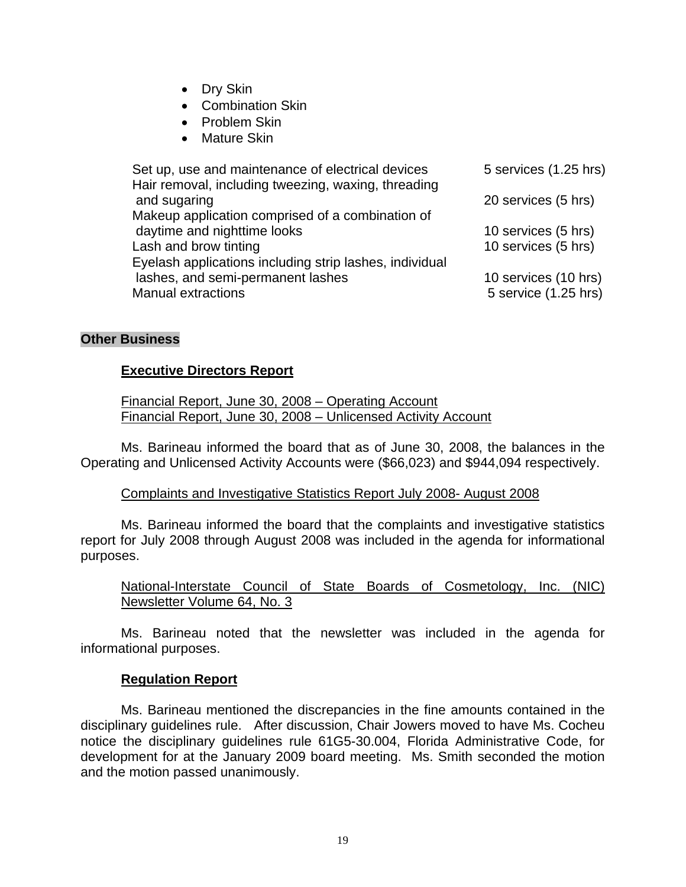- Dry Skin
- Combination Skin
- Problem Skin
- Mature Skin

| Set up, use and maintenance of electrical devices<br>Hair removal, including tweezing, waxing, threading | 5 services (1.25 hrs) |
|----------------------------------------------------------------------------------------------------------|-----------------------|
| and sugaring                                                                                             | 20 services (5 hrs)   |
| Makeup application comprised of a combination of                                                         |                       |
| daytime and nighttime looks                                                                              | 10 services (5 hrs)   |
| Lash and brow tinting                                                                                    | 10 services (5 hrs)   |
| Eyelash applications including strip lashes, individual                                                  |                       |
| lashes, and semi-permanent lashes                                                                        | 10 services (10 hrs)  |
| <b>Manual extractions</b>                                                                                | 5 service (1.25 hrs)  |

## **Other Business**

## **Executive Directors Report**

 Financial Report, June 30, 2008 – Operating Account Financial Report, June 30, 2008 – Unlicensed Activity Account

 Ms. Barineau informed the board that as of June 30, 2008, the balances in the Operating and Unlicensed Activity Accounts were (\$66,023) and \$944,094 respectively.

## Complaints and Investigative Statistics Report July 2008- August 2008

 Ms. Barineau informed the board that the complaints and investigative statistics report for July 2008 through August 2008 was included in the agenda for informational purposes.

# National-Interstate Council of State Boards of Cosmetology, Inc. (NIC) Newsletter Volume 64, No. 3

 Ms. Barineau noted that the newsletter was included in the agenda for informational purposes.

## **Regulation Report**

 Ms. Barineau mentioned the discrepancies in the fine amounts contained in the disciplinary guidelines rule. After discussion, Chair Jowers moved to have Ms. Cocheu notice the disciplinary guidelines rule 61G5-30.004, Florida Administrative Code, for development for at the January 2009 board meeting. Ms. Smith seconded the motion and the motion passed unanimously.